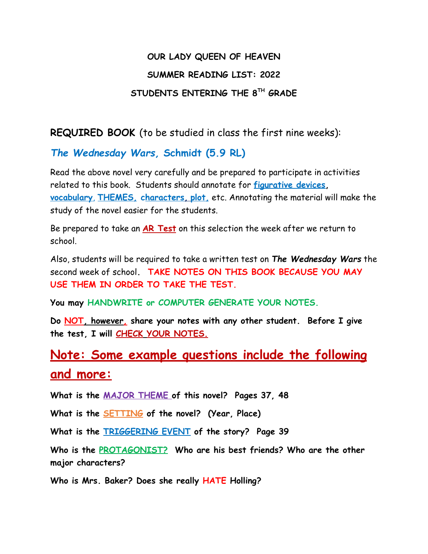## **OUR LADY QUEEN OF HEAVEN SUMMER READING LIST: 2022 STUDENTS ENTERING THE 8TH GRADE**

**REQUIRED BOOK** (to be studied in class the first nine weeks):

## *The Wednesday Wars,* **Schmidt (5.9 RL)**

Read the above novel very carefully and be prepared to participate in activities related to this book. Students should annotate for **figurative devices, vocabulary**, **THEMES, characters, plot,** etc. Annotating the material will make the study of the novel easier for the students.

Be prepared to take an **AR Test** on this selection the week after we return to school.

Also, students will be required to take a written test on *The Wednesday Wars* the second week of school**. TAKE NOTES ON THIS BOOK BECAUSE YOU MAY USE THEM IN ORDER TO TAKE THE TEST.**

**You may HANDWRITE or COMPUTER GENERATE YOUR NOTES.**

**Do NOT, however, share your notes with any other student. Before I give the test, I will CHECK YOUR NOTES.**

## **Note: Some example questions include the following and more:**

**What is the MAJOR THEME of this novel? Pages 37, 48**

**What is the SETTING of the novel? (Year, Place)**

**What is the TRIGGERING EVENT of the story? Page 39**

**Who is the PROTAGONIST? Who are his best friends? Who are the other major characters?**

**Who is Mrs. Baker? Does she really HATE Holling?**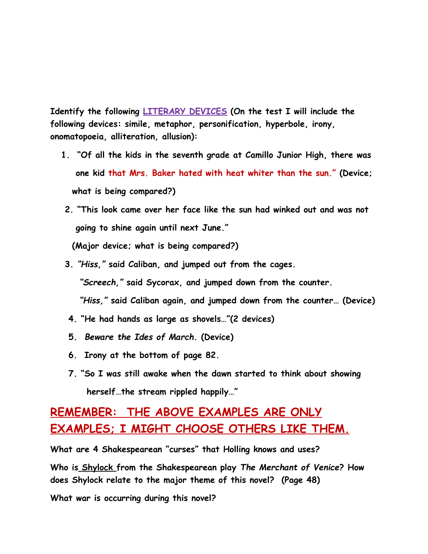**Identify the following LITERARY DEVICES (On the test I will include the following devices: simile, metaphor, personification, hyperbole, irony, onomatopoeia, alliteration, allusion):**

- **1. "Of all the kids in the seventh grade at Camillo Junior High, there was one kid that Mrs. Baker hated with heat whiter than the sun." (Device; what is being compared?)**
- **2. "This look came over her face like the sun had winked out and was not going to shine again until next June."**

**(Major device; what is being compared?)**

**3.** *"Hiss,"* **said Caliban, and jumped out from the cages.** *"Screech,"* **said Sycorax, and jumped down from the counter.**

*"Hiss,"* **said Caliban again, and jumped down from the counter… (Device)**

- **4. "He had hands as large as shovels…"(2 devices)**
- **5.** *Beware the Ides of March.* **(Device)**
- **6. Irony at the bottom of page 82.**
- **7. "So I was still awake when the dawn started to think about showing herself…the stream rippled happily…"**

## **REMEMBER: THE ABOVE EXAMPLES ARE ONLY EXAMPLES; I MIGHT CHOOSE OTHERS LIKE THEM.**

**What are 4 Shakespearean "curses" that Holling knows and uses? Who is Shylock from the Shakespearean play** *The Merchant of Venice***? How**

**does Shylock relate to the major theme of this novel? (Page 48)**

**What war is occurring during this novel?**